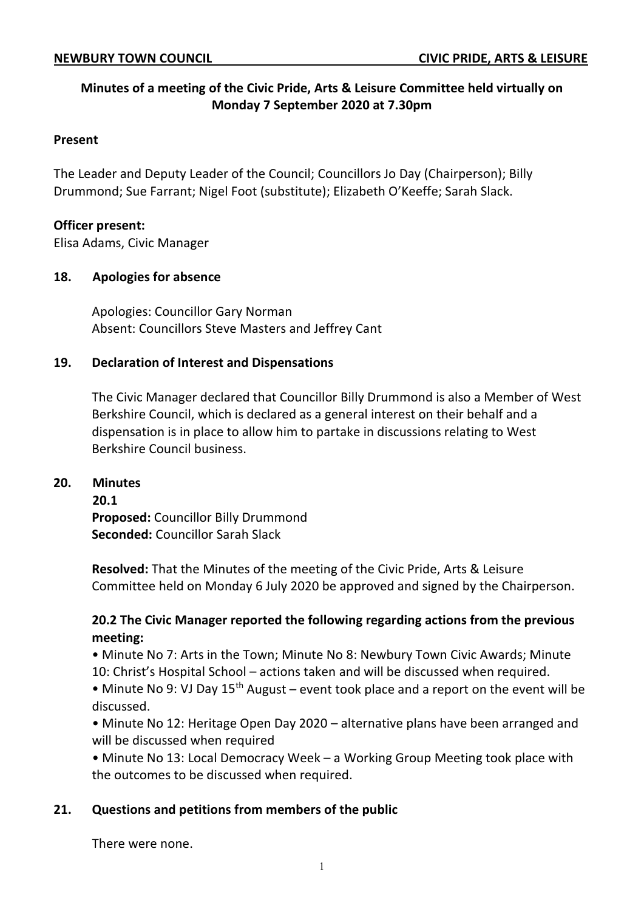# **Minutes of a meeting of the Civic Pride, Arts & Leisure Committee held virtually on Monday 7 September 2020 at 7.30pm**

#### **Present**

The Leader and Deputy Leader of the Council; Councillors Jo Day (Chairperson); Billy Drummond; Sue Farrant; Nigel Foot (substitute); Elizabeth O'Keeffe; Sarah Slack.

#### **Officer present:**

Elisa Adams, Civic Manager

#### **18. Apologies for absence**

Apologies: Councillor Gary Norman Absent: Councillors Steve Masters and Jeffrey Cant

## **19. Declaration of Interest and Dispensations**

The Civic Manager declared that Councillor Billy Drummond is also a Member of West Berkshire Council, which is declared as a general interest on their behalf and a dispensation is in place to allow him to partake in discussions relating to West Berkshire Council business.

#### **20. Minutes**

**20.1 Proposed:** Councillor Billy Drummond **Seconded:** Councillor Sarah Slack

**Resolved:** That the Minutes of the meeting of the Civic Pride, Arts & Leisure Committee held on Monday 6 July 2020 be approved and signed by the Chairperson.

## **20.2 The Civic Manager reported the following regarding actions from the previous meeting:**

• Minute No 7: Arts in the Town; Minute No 8: Newbury Town Civic Awards; Minute 10: Christ's Hospital School – actions taken and will be discussed when required.

• Minute No 9: VJ Day  $15<sup>th</sup>$  August – event took place and a report on the event will be discussed.

• Minute No 12: Heritage Open Day 2020 – alternative plans have been arranged and will be discussed when required

• Minute No 13: Local Democracy Week – a Working Group Meeting took place with the outcomes to be discussed when required.

## **21. Questions and petitions from members of the public**

There were none.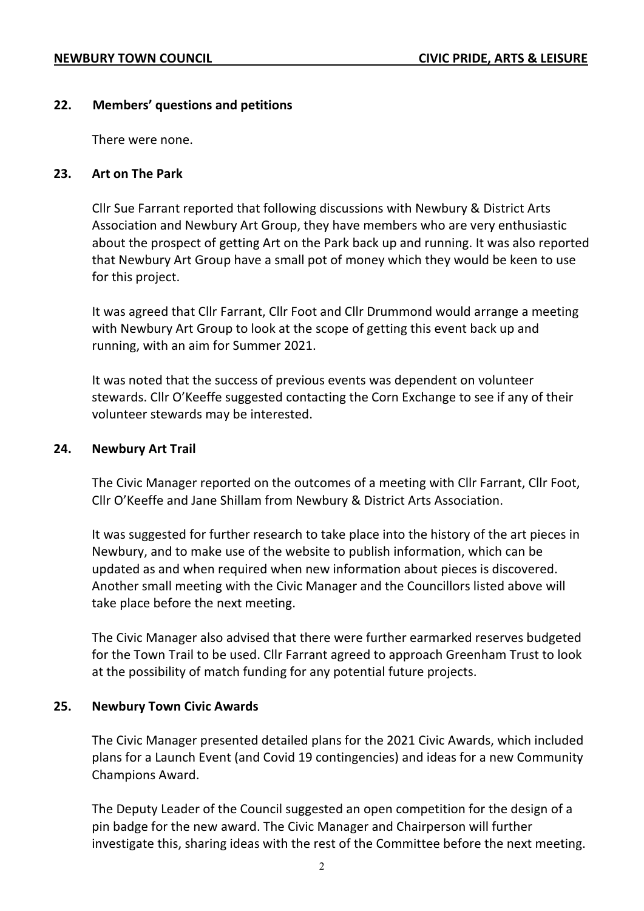## **22. Members' questions and petitions**

There were none.

#### **23. Art on The Park**

Cllr Sue Farrant reported that following discussions with Newbury & District Arts Association and Newbury Art Group, they have members who are very enthusiastic about the prospect of getting Art on the Park back up and running. It was also reported that Newbury Art Group have a small pot of money which they would be keen to use for this project.

It was agreed that Cllr Farrant, Cllr Foot and Cllr Drummond would arrange a meeting with Newbury Art Group to look at the scope of getting this event back up and running, with an aim for Summer 2021.

It was noted that the success of previous events was dependent on volunteer stewards. Cllr O'Keeffe suggested contacting the Corn Exchange to see if any of their volunteer stewards may be interested.

#### **24. Newbury Art Trail**

The Civic Manager reported on the outcomes of a meeting with Cllr Farrant, Cllr Foot, Cllr O'Keeffe and Jane Shillam from Newbury & District Arts Association.

It was suggested for further research to take place into the history of the art pieces in Newbury, and to make use of the website to publish information, which can be updated as and when required when new information about pieces is discovered. Another small meeting with the Civic Manager and the Councillors listed above will take place before the next meeting.

The Civic Manager also advised that there were further earmarked reserves budgeted for the Town Trail to be used. Cllr Farrant agreed to approach Greenham Trust to look at the possibility of match funding for any potential future projects.

## **25. Newbury Town Civic Awards**

The Civic Manager presented detailed plans for the 2021 Civic Awards, which included plans for a Launch Event (and Covid 19 contingencies) and ideas for a new Community Champions Award.

The Deputy Leader of the Council suggested an open competition for the design of a pin badge for the new award. The Civic Manager and Chairperson will further investigate this, sharing ideas with the rest of the Committee before the next meeting.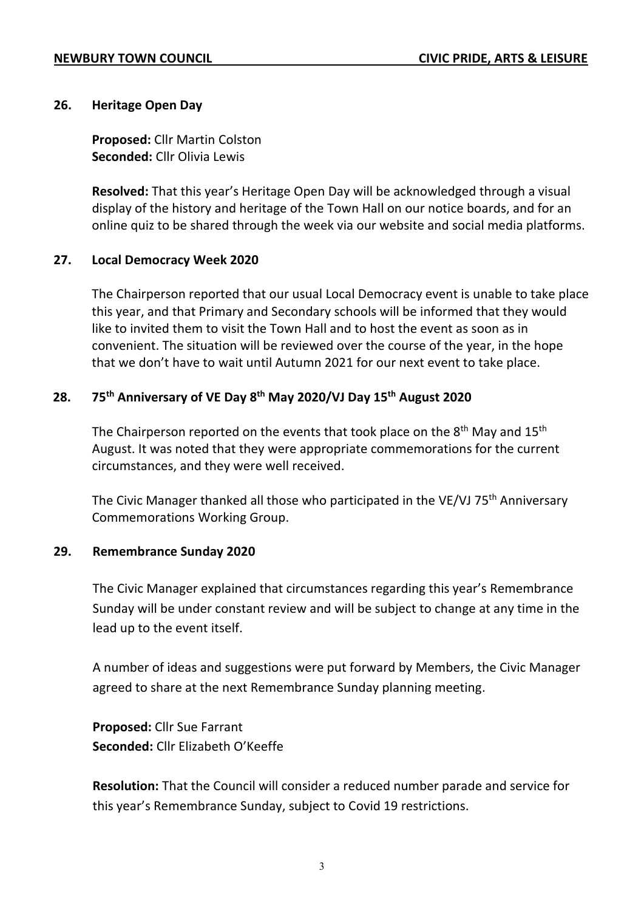## **26. Heritage Open Day**

**Proposed:** Cllr Martin Colston **Seconded:** Cllr Olivia Lewis

**Resolved:** That this year's Heritage Open Day will be acknowledged through a visual display of the history and heritage of the Town Hall on our notice boards, and for an online quiz to be shared through the week via our website and social media platforms.

## **27. Local Democracy Week 2020**

The Chairperson reported that our usual Local Democracy event is unable to take place this year, and that Primary and Secondary schools will be informed that they would like to invited them to visit the Town Hall and to host the event as soon as in convenient. The situation will be reviewed over the course of the year, in the hope that we don't have to wait until Autumn 2021 for our next event to take place.

## **28. 75th Anniversary of VE Day 8th May 2020/VJ Day 15th August 2020**

The Chairperson reported on the events that took place on the  $8<sup>th</sup>$  May and 15<sup>th</sup> August. It was noted that they were appropriate commemorations for the current circumstances, and they were well received.

The Civic Manager thanked all those who participated in the VE/VJ 75<sup>th</sup> Anniversary Commemorations Working Group.

## **29. Remembrance Sunday 2020**

The Civic Manager explained that circumstances regarding this year's Remembrance Sunday will be under constant review and will be subject to change at any time in the lead up to the event itself.

A number of ideas and suggestions were put forward by Members, the Civic Manager agreed to share at the next Remembrance Sunday planning meeting.

**Proposed:** Cllr Sue Farrant **Seconded:** Cllr Elizabeth O'Keeffe

**Resolution:** That the Council will consider a reduced number parade and service for this year's Remembrance Sunday, subject to Covid 19 restrictions.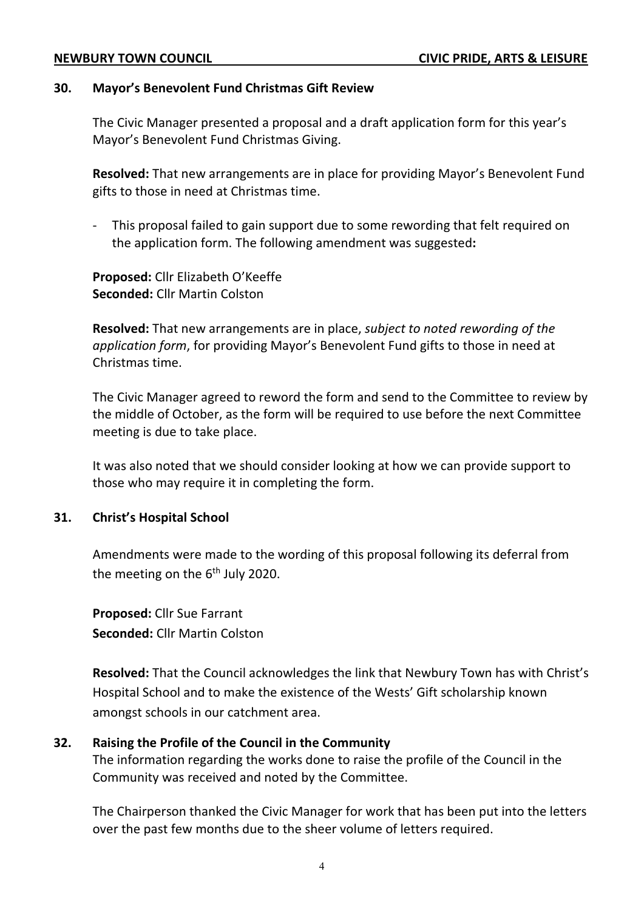#### **30. Mayor's Benevolent Fund Christmas Gift Review**

The Civic Manager presented a proposal and a draft application form for this year's Mayor's Benevolent Fund Christmas Giving.

**Resolved:** That new arrangements are in place for providing Mayor's Benevolent Fund gifts to those in need at Christmas time.

This proposal failed to gain support due to some rewording that felt required on the application form. The following amendment was suggested**:**

**Proposed:** Cllr Elizabeth O'Keeffe **Seconded:** Cllr Martin Colston

**Resolved:** That new arrangements are in place, *subject to noted rewording of the application form*, for providing Mayor's Benevolent Fund gifts to those in need at Christmas time.

The Civic Manager agreed to reword the form and send to the Committee to review by the middle of October, as the form will be required to use before the next Committee meeting is due to take place.

It was also noted that we should consider looking at how we can provide support to those who may require it in completing the form.

## **31. Christ's Hospital School**

Amendments were made to the wording of this proposal following its deferral from the meeting on the  $6<sup>th</sup>$  July 2020.

**Proposed:** Cllr Sue Farrant **Seconded:** Cllr Martin Colston

**Resolved:** That the Council acknowledges the link that Newbury Town has with Christ's Hospital School and to make the existence of the Wests' Gift scholarship known amongst schools in our catchment area.

# **32. Raising the Profile of the Council in the Community**

The information regarding the works done to raise the profile of the Council in the Community was received and noted by the Committee.

The Chairperson thanked the Civic Manager for work that has been put into the letters over the past few months due to the sheer volume of letters required.